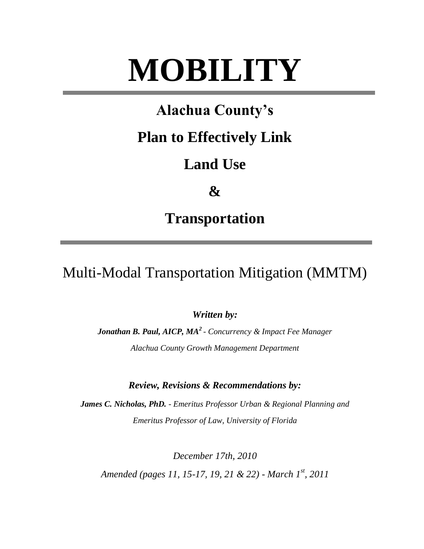# **MOBILITY**

# **Alachua County's**

# **Plan to Effectively Link**

# **Land Use**

**&**

# **Transportation**

Multi-Modal Transportation Mitigation (MMTM)

*Written by:*

*Jonathan B. Paul, AICP, MA<sup>2</sup> - Concurrency & Impact Fee Manager Alachua County Growth Management Department*

*Review, Revisions & Recommendations by:* 

*James C. Nicholas, PhD. - Emeritus Professor Urban & Regional Planning and Emeritus Professor of Law, University of Florida*

*December 17th, 2010 Amended (pages 11, 15-17, 19, 21 & 22) - March 1st, 2011*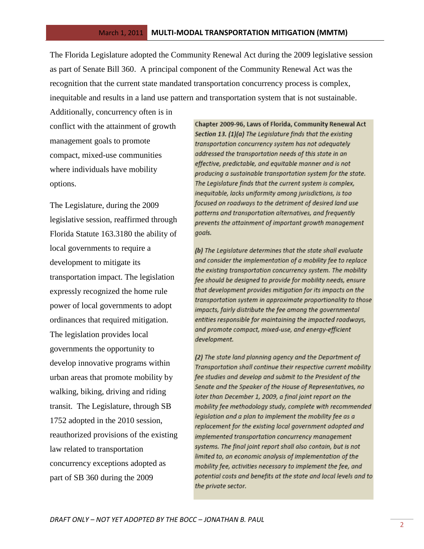The Florida Legislature adopted the Community Renewal Act during the 2009 legislative session as part of Senate Bill 360. A principal component of the Community Renewal Act was the recognition that the current state mandated transportation concurrency process is complex, inequitable and results in a land use pattern and transportation system that is not sustainable.

Additionally, concurrency often is in conflict with the attainment of growth management goals to promote compact, mixed-use communities where individuals have mobility options.

The Legislature, during the 2009 legislative session, reaffirmed through Florida Statute 163.3180 the ability of local governments to require a development to mitigate its transportation impact. The legislation expressly recognized the home rule power of local governments to adopt ordinances that required mitigation. The legislation provides local governments the opportunity to develop innovative programs within urban areas that promote mobility by walking, biking, driving and riding transit. The Legislature, through SB 1752 adopted in the 2010 session, reauthorized provisions of the existing law related to transportation concurrency exceptions adopted as part of SB 360 during the 2009

Chapter 2009-96, Laws of Florida, Community Renewal Act Section 13. (1)(a) The Legislature finds that the existing transportation concurrency system has not adequately addressed the transportation needs of this state in an effective, predictable, and equitable manner and is not producing a sustainable transportation system for the state. The Legislature finds that the current system is complex, inequitable, lacks uniformity among jurisdictions, is too focused on roadways to the detriment of desired land use patterns and transportation alternatives, and frequently prevents the attainment of important growth management goals.

(b) The Legislature determines that the state shall evaluate and consider the implementation of a mobility fee to replace the existing transportation concurrency system. The mobility fee should be designed to provide for mobility needs, ensure that development provides mitigation for its impacts on the transportation system in approximate proportionality to those impacts, fairly distribute the fee among the governmental entities responsible for maintaining the impacted roadways, and promote compact, mixed-use, and energy-efficient development.

(2) The state land planning agency and the Department of Transportation shall continue their respective current mobility fee studies and develop and submit to the President of the Senate and the Speaker of the House of Representatives, no later than December 1, 2009, a final joint report on the mobility fee methodology study, complete with recommended legislation and a plan to implement the mobility fee as a replacement for the existing local government adopted and implemented transportation concurrency management systems. The final joint report shall also contain, but is not limited to, an economic analysis of implementation of the mobility fee, activities necessary to implement the fee, and potential costs and benefits at the state and local levels and to the private sector.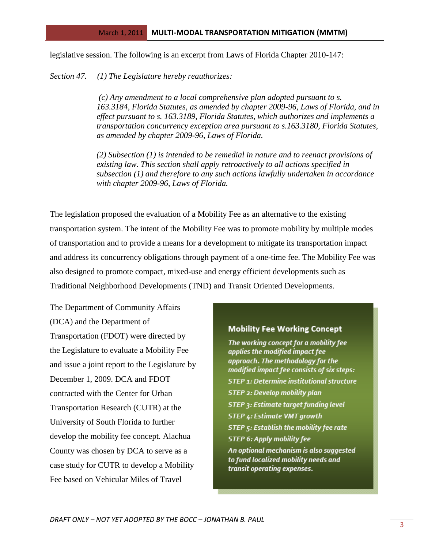legislative session. The following is an excerpt from Laws of Florida Chapter 2010-147:

*Section 47. (1) The Legislature hereby reauthorizes:*

*(c) Any amendment to a local comprehensive plan adopted pursuant to s. 163.3184, Florida Statutes, as amended by chapter 2009-96, Laws of Florida, and in effect pursuant to s. 163.3189, Florida Statutes, which authorizes and implements a transportation concurrency exception area pursuant to s.163.3180, Florida Statutes, as amended by chapter 2009-96, Laws of Florida.*

*(2) Subsection (1) is intended to be remedial in nature and to reenact provisions of existing law. This section shall apply retroactively to all actions specified in subsection (1) and therefore to any such actions lawfully undertaken in accordance with chapter 2009-96, Laws of Florida.*

The legislation proposed the evaluation of a Mobility Fee as an alternative to the existing transportation system. The intent of the Mobility Fee was to promote mobility by multiple modes of transportation and to provide a means for a development to mitigate its transportation impact and address its concurrency obligations through payment of a one-time fee. The Mobility Fee was also designed to promote compact, mixed-use and energy efficient developments such as Traditional Neighborhood Developments (TND) and Transit Oriented Developments.

The Department of Community Affairs (DCA) and the Department of Transportation (FDOT) were directed by the Legislature to evaluate a Mobility Fee and issue a joint report to the Legislature by December 1, 2009. DCA and FDOT contracted with the Center for Urban Transportation Research (CUTR) at the University of South Florida to further develop the mobility fee concept. Alachua County was chosen by DCA to serve as a case study for CUTR to develop a Mobility Fee based on Vehicular Miles of Travel

#### **Mobility Fee Working Concept**

The working concept for a mobility fee applies the modified impact fee approach. The methodology for the modified impact fee consists of six steps: **STEP 1: Determine institutional structure** STEP 2: Develop mobility plan **STEP 3: Estimate target funding level STEP 4: Estimate VMT growth** STEP 5: Establish the mobility fee rate **STEP 6: Apply mobility fee** An optional mechanism is also suggested to fund localized mobility needs and transit operating expenses.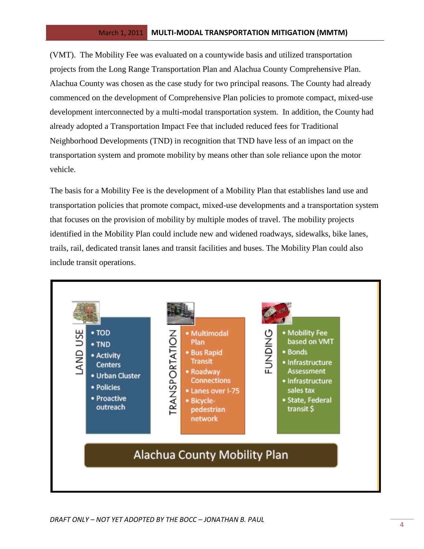(VMT). The Mobility Fee was evaluated on a countywide basis and utilized transportation projects from the Long Range Transportation Plan and Alachua County Comprehensive Plan. Alachua County was chosen as the case study for two principal reasons. The County had already commenced on the development of Comprehensive Plan policies to promote compact, mixed-use development interconnected by a multi-modal transportation system. In addition, the County had already adopted a Transportation Impact Fee that included reduced fees for Traditional Neighborhood Developments (TND) in recognition that TND have less of an impact on the transportation system and promote mobility by means other than sole reliance upon the motor vehicle.

The basis for a Mobility Fee is the development of a Mobility Plan that establishes land use and transportation policies that promote compact, mixed-use developments and a transportation system that focuses on the provision of mobility by multiple modes of travel. The mobility projects identified in the Mobility Plan could include new and widened roadways, sidewalks, bike lanes, trails, rail, dedicated transit lanes and transit facilities and buses. The Mobility Plan could also include transit operations.

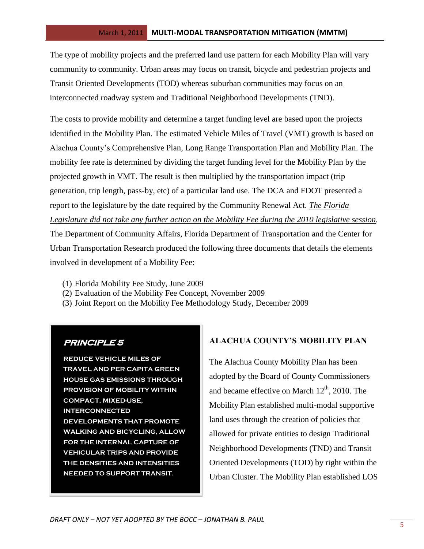The type of mobility projects and the preferred land use pattern for each Mobility Plan will vary community to community. Urban areas may focus on transit, bicycle and pedestrian projects and Transit Oriented Developments (TOD) whereas suburban communities may focus on an interconnected roadway system and Traditional Neighborhood Developments (TND).

The costs to provide mobility and determine a target funding level are based upon the projects identified in the Mobility Plan. The estimated Vehicle Miles of Travel (VMT) growth is based on Alachua County's Comprehensive Plan, Long Range Transportation Plan and Mobility Plan. The mobility fee rate is determined by dividing the target funding level for the Mobility Plan by the projected growth in VMT. The result is then multiplied by the transportation impact (trip generation, trip length, pass-by, etc) of a particular land use. The DCA and FDOT presented a report to the legislature by the date required by the Community Renewal Act. *The Florida Legislature did not take any further action on the Mobility Fee during the 2010 legislative session.*  The Department of Community Affairs, Florida Department of Transportation and the Center for

Urban Transportation Research produced the following three documents that details the elements involved in development of a Mobility Fee:

- (1) Florida Mobility Fee Study, June 2009
- (2) Evaluation of the Mobility Fee Concept, November 2009
- (3) Joint Report on the Mobility Fee Methodology Study, December 2009

# **PRINCIPLE 5**

**REDUCE VEHICLE MILES OF TRAVEL AND PER CAPITA GREEN HOUSE GAS EMISSIONS THROUGH PROVISION OF MOBILITY WITHIN COMPACT, MIXED-USE, INTERCONNECTED DEVELOPMENTS THAT PROMOTE WALKING AND BICYCLING, ALLOW FOR THE INTERNAL CAPTURE OF VEHICULAR TRIPS AND PROVIDE THE DENSITIES AND INTENSITIES NEEDED TO SUPPORT TRANSIT.** 

# **ALACHUA COUNTY'S MOBILITY PLAN**

The Alachua County Mobility Plan has been adopted by the Board of County Commissioners and became effective on March  $12<sup>th</sup>$ , 2010. The Mobility Plan established multi-modal supportive land uses through the creation of policies that allowed for private entities to design Traditional Neighborhood Developments (TND) and Transit Oriented Developments (TOD) by right within the Urban Cluster. The Mobility Plan established LOS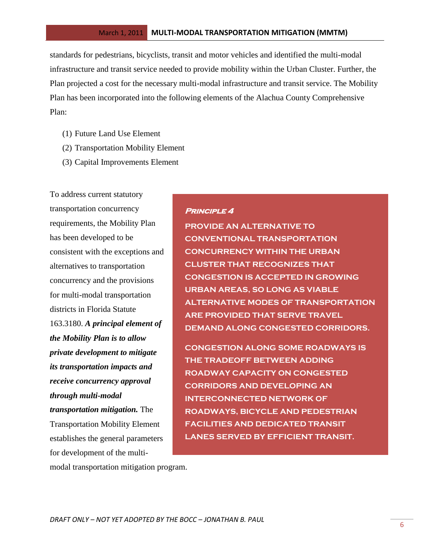standards for pedestrians, bicyclists, transit and motor vehicles and identified the multi-modal infrastructure and transit service needed to provide mobility within the Urban Cluster. Further, the Plan projected a cost for the necessary multi-modal infrastructure and transit service. The Mobility Plan has been incorporated into the following elements of the Alachua County Comprehensive Plan:

- (1) Future Land Use Element
- (2) Transportation Mobility Element
- (3) Capital Improvements Element

To address current statutory transportation concurrency requirements, the Mobility Plan has been developed to be consistent with the exceptions and alternatives to transportation concurrency and the provisions for multi-modal transportation districts in Florida Statute 163.3180. *A principal element of the Mobility Plan is to allow private development to mitigate its transportation impacts and receive concurrency approval through multi-modal transportation mitigation.* The Transportation Mobility Element establishes the general parameters for development of the multi-

# **Principle 4**

**PROVIDE AN ALTERNATIVE TO CONVENTIONAL TRANSPORTATION CONCURRENCY WITHIN THE URBAN CLUSTER THAT RECOGNIZES THAT CONGESTION IS ACCEPTED IN GROWING URBAN AREAS, SO LONG AS VIABLE ALTERNATIVE MODES OF TRANSPORTATION ARE PROVIDED THAT SERVE TRAVEL DEMAND ALONG CONGESTED CORRIDORS.** 

**CONGESTION ALONG SOME ROADWAYS IS THE TRADEOFF BETWEEN ADDING ROADWAY CAPACITY ON CONGESTED CORRIDORS AND DEVELOPING AN INTERCONNECTED NETWORK OF ROADWAYS, BICYCLE AND PEDESTRIAN FACILITIES AND DEDICATED TRANSIT LANES SERVED BY EFFICIENT TRANSIT.**

modal transportation mitigation program.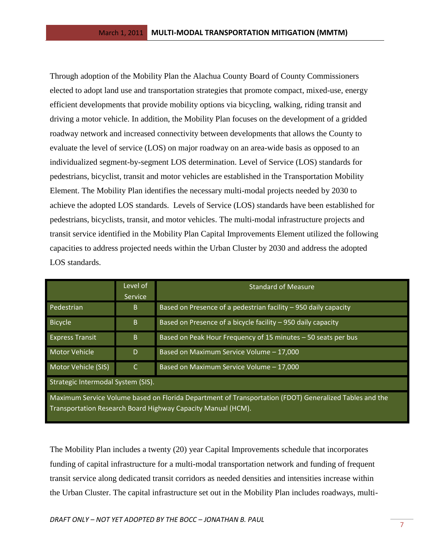Through adoption of the Mobility Plan the Alachua County Board of County Commissioners elected to adopt land use and transportation strategies that promote compact, mixed-use, energy efficient developments that provide mobility options via bicycling, walking, riding transit and driving a motor vehicle. In addition, the Mobility Plan focuses on the development of a gridded roadway network and increased connectivity between developments that allows the County to evaluate the level of service (LOS) on major roadway on an area-wide basis as opposed to an individualized segment-by-segment LOS determination. Level of Service (LOS) standards for pedestrians, bicyclist, transit and motor vehicles are established in the Transportation Mobility Element. The Mobility Plan identifies the necessary multi-modal projects needed by 2030 to achieve the adopted LOS standards. Levels of Service (LOS) standards have been established for pedestrians, bicyclists, transit, and motor vehicles. The multi-modal infrastructure projects and transit service identified in the Mobility Plan Capital Improvements Element utilized the following capacities to address projected needs within the Urban Cluster by 2030 and address the adopted LOS standards.

|                                                                                                                                                                        | Level of<br><b>Service</b> | <b>Standard of Measure</b>                                      |  |  |
|------------------------------------------------------------------------------------------------------------------------------------------------------------------------|----------------------------|-----------------------------------------------------------------|--|--|
| Pedestrian                                                                                                                                                             | B                          | Based on Presence of a pedestrian facility - 950 daily capacity |  |  |
| <b>Bicycle</b>                                                                                                                                                         | B                          | Based on Presence of a bicycle facility - 950 daily capacity    |  |  |
| <b>Express Transit</b>                                                                                                                                                 | B.                         | Based on Peak Hour Frequency of 15 minutes - 50 seats per bus   |  |  |
| <b>Motor Vehicle</b>                                                                                                                                                   | D                          | Based on Maximum Service Volume - 17,000                        |  |  |
| Motor Vehicle (SIS)                                                                                                                                                    | $\mathsf{C}$               | Based on Maximum Service Volume - 17,000                        |  |  |
| Strategic Intermodal System (SIS).                                                                                                                                     |                            |                                                                 |  |  |
| Maximum Service Volume based on Florida Department of Transportation (FDOT) Generalized Tables and the<br>Transportation Research Board Highway Capacity Manual (HCM). |                            |                                                                 |  |  |

The Mobility Plan includes a twenty (20) year Capital Improvements schedule that incorporates funding of capital infrastructure for a multi-modal transportation network and funding of frequent transit service along dedicated transit corridors as needed densities and intensities increase within the Urban Cluster. The capital infrastructure set out in the Mobility Plan includes roadways, multi-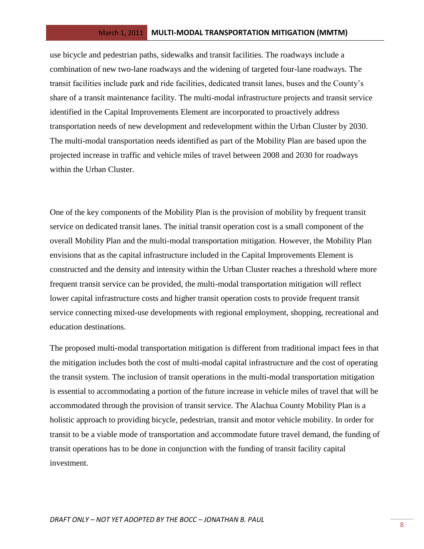use bicycle and pedestrian paths, sidewalks and transit facilities. The roadways include a combination of new two-lane roadways and the widening of targeted four-lane roadways. The transit facilities include park and ride facilities, dedicated transit lanes, buses and the County's share of a transit maintenance facility. The multi-modal infrastructure projects and transit service identified in the Capital Improvements Element are incorporated to proactively address transportation needs of new development and redevelopment within the Urban Cluster by 2030. The multi-modal transportation needs identified as part of the Mobility Plan are based upon the projected increase in traffic and vehicle miles of travel between 2008 and 2030 for roadways within the Urban Cluster.

One of the key components of the Mobility Plan is the provision of mobility by frequent transit service on dedicated transit lanes. The initial transit operation cost is a small component of the overall Mobility Plan and the multi-modal transportation mitigation. However, the Mobility Plan envisions that as the capital infrastructure included in the Capital Improvements Element is constructed and the density and intensity within the Urban Cluster reaches a threshold where more frequent transit service can be provided, the multi-modal transportation mitigation will reflect lower capital infrastructure costs and higher transit operation costs to provide frequent transit service connecting mixed-use developments with regional employment, shopping, recreational and education destinations.

The proposed multi-modal transportation mitigation is different from traditional impact fees in that the mitigation includes both the cost of multi-modal capital infrastructure and the cost of operating the transit system. The inclusion of transit operations in the multi-modal transportation mitigation is essential to accommodating a portion of the future increase in vehicle miles of travel that will be accommodated through the provision of transit service. The Alachua County Mobility Plan is a holistic approach to providing bicycle, pedestrian, transit and motor vehicle mobility. In order for transit to be a viable mode of transportation and accommodate future travel demand, the funding of transit operations has to be done in conjunction with the funding of transit facility capital investment.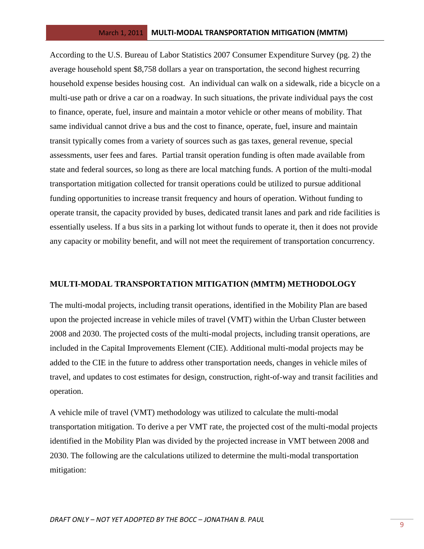According to the U.S. Bureau of Labor Statistics 2007 Consumer Expenditure Survey (pg. 2) the average household spent \$8,758 dollars a year on transportation, the second highest recurring household expense besides housing cost. An individual can walk on a sidewalk, ride a bicycle on a multi-use path or drive a car on a roadway. In such situations, the private individual pays the cost to finance, operate, fuel, insure and maintain a motor vehicle or other means of mobility. That same individual cannot drive a bus and the cost to finance, operate, fuel, insure and maintain transit typically comes from a variety of sources such as gas taxes, general revenue, special assessments, user fees and fares. Partial transit operation funding is often made available from state and federal sources, so long as there are local matching funds. A portion of the multi-modal transportation mitigation collected for transit operations could be utilized to pursue additional funding opportunities to increase transit frequency and hours of operation. Without funding to operate transit, the capacity provided by buses, dedicated transit lanes and park and ride facilities is essentially useless. If a bus sits in a parking lot without funds to operate it, then it does not provide any capacity or mobility benefit, and will not meet the requirement of transportation concurrency.

#### **MULTI-MODAL TRANSPORTATION MITIGATION (MMTM) METHODOLOGY**

The multi-modal projects, including transit operations, identified in the Mobility Plan are based upon the projected increase in vehicle miles of travel (VMT) within the Urban Cluster between 2008 and 2030. The projected costs of the multi-modal projects, including transit operations, are included in the Capital Improvements Element (CIE). Additional multi-modal projects may be added to the CIE in the future to address other transportation needs, changes in vehicle miles of travel, and updates to cost estimates for design, construction, right-of-way and transit facilities and operation.

A vehicle mile of travel (VMT) methodology was utilized to calculate the multi-modal transportation mitigation. To derive a per VMT rate, the projected cost of the multi-modal projects identified in the Mobility Plan was divided by the projected increase in VMT between 2008 and 2030. The following are the calculations utilized to determine the multi-modal transportation mitigation: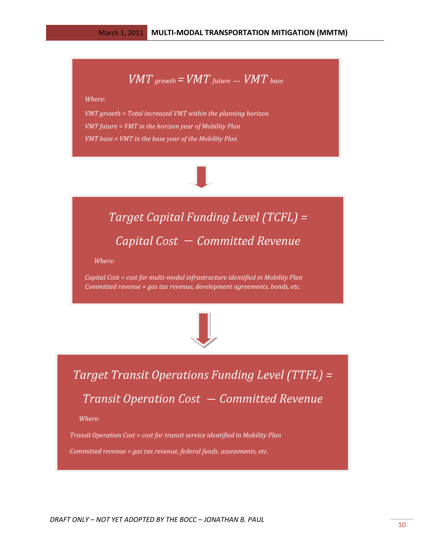$$
VMT_{\text{growth}} = VMT_{\text{future}} \dots \text{VMT}_{\text{base}}
$$

*Where:*

*VMT growth = Total increased VMT within the planning horizon VMT future = VMT in the horizon year of Mobility Plan VMT base = VMT in the base year of the Mobility Plan*



*Committed revenue = gas tax revenue, federal funds, assessments, etc.* 

# *Target Capital Funding Level (TCFL) = Capital Cost - Committed Revenue*

 *Where:*

*Capital Cost = cost for multi-modal infrastructure identified in Mobility Plan Committed revenue = gas tax revenue, development agreements, bonds, etc.*



*Target Transit Operations Funding Level (TTFL) = Transit Operation Cost - Committed Revenue* 

 *Where:*

*Transit Operation Cost = cost for transit service identified in Mobility Plan Committed revenue = gas tax revenue, federal funds, assessments, etc.*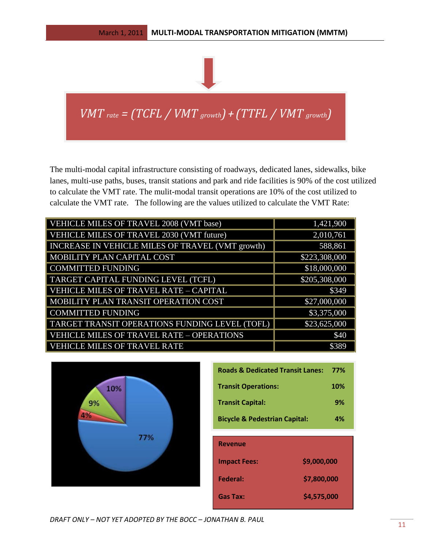

*VMT rate = (TCFL / VMT growth)+(TTFL / VMT growth)*

The multi-modal capital infrastructure consisting of roadways, dedicated lanes, sidewalks, bike lanes, multi-use paths, buses, transit stations and park and ride facilities is 90% of the cost utilized to calculate the VMT rate. The mulit-modal transit operations are 10% of the cost utilized to calculate the VMT rate. The following are the values utilized to calculate the VMT Rate:

| VEHICLE MILES OF TRAVEL 2008 (VMT base)          | 1,421,900     |
|--------------------------------------------------|---------------|
| VEHICLE MILES OF TRAVEL 2030 (VMT future)        | 2,010,761     |
| INCREASE IN VEHICLE MILES OF TRAVEL (VMT growth) | 588,861       |
| MOBILITY PLAN CAPITAL COST                       | \$223,308,000 |
| <b>COMMITTED FUNDING</b>                         | \$18,000,000  |
| TARGET CAPITAL FUNDING LEVEL (TCFL)              | \$205,308,000 |
| VEHICLE MILES OF TRAVEL RATE - CAPITAL           | \$349         |
| MOBILITY PLAN TRANSIT OPERATION COST             | \$27,000,000  |
| <b>COMMITTED FUNDING</b>                         | \$3,375,000   |
| TARGET TRANSIT OPERATIONS FUNDING LEVEL (TOFL)   | \$23,625,000  |
| <b>VEHICLE MILES OF TRAVEL RATE - OPERATIONS</b> | \$40          |
| <b>VEHICLE MILES OF TRAVEL RATE</b>              | \$389         |



| <b>Roads &amp; Dedicated Transit Lanes:</b> | 77%        |
|---------------------------------------------|------------|
| <b>Transit Operations:</b>                  | <b>10%</b> |
| <b>Transit Capital:</b>                     | 9%         |
| <b>Bicycle &amp; Pedestrian Capital:</b>    | 4%         |
|                                             |            |

| <b>Revenue</b>      |             |
|---------------------|-------------|
| <b>Impact Fees:</b> | \$9,000,000 |
| Federal:            | \$7,800,000 |
| Gas Tax:            | \$4,575,000 |

*DRAFT ONLY – NOT YET ADOPTED BY THE BOCC – JONATHAN B. PAUL*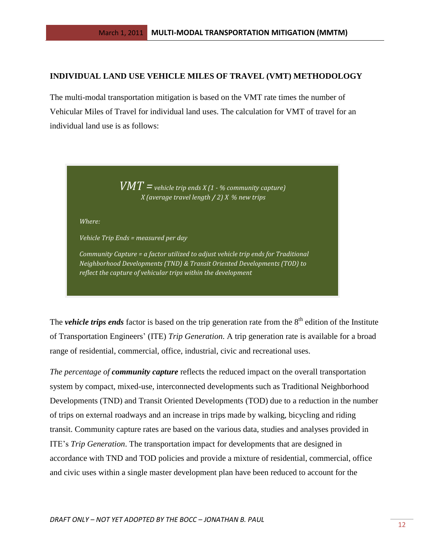#### **INDIVIDUAL LAND USE VEHICLE MILES OF TRAVEL (VMT) METHODOLOGY**

The multi-modal transportation mitigation is based on the VMT rate times the number of Vehicular Miles of Travel for individual land uses. The calculation for VMT of travel for an individual land use is as follows:

> *VMT =vehicle trip ends X (1 - % community capture) X (average travel length / 2) X % new trips*

*Where:*

*Vehicle Trip Ends = measured per day* 

*Community Capture = a factor utilized to adjust vehicle trip ends for Traditional Neighborhood Developments (TND) & Transit Oriented Developments (TOD) to reflect the capture of vehicular trips within the development* 

The *vehicle trips ends* factor is based on the trip generation rate from the 8<sup>th</sup> edition of the Institute of Transportation Engineers' (ITE) *Trip Generation*. A trip generation rate is available for a broad range of residential, commercial, office, industrial, civic and recreational uses.

*The percentage of community capture* reflects the reduced impact on the overall transportation system by compact, mixed-use, interconnected developments such as Traditional Neighborhood Developments (TND) and Transit Oriented Developments (TOD) due to a reduction in the number of trips on external roadways and an increase in trips made by walking, bicycling and riding transit. Community capture rates are based on the various data, studies and analyses provided in ITE's *Trip Generation*. The transportation impact for developments that are designed in accordance with TND and TOD policies and provide a mixture of residential, commercial, office and civic uses within a single master development plan have been reduced to account for the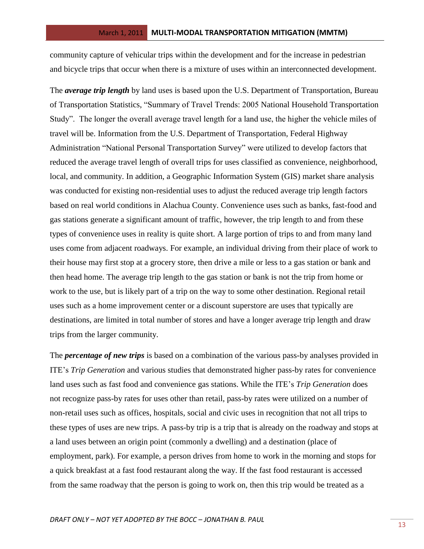community capture of vehicular trips within the development and for the increase in pedestrian and bicycle trips that occur when there is a mixture of uses within an interconnected development.

The *average trip length* by land uses is based upon the U.S. Department of Transportation, Bureau of Transportation Statistics, "Summary of Travel Trends: 2005 National Household Transportation Study". The longer the overall average travel length for a land use, the higher the vehicle miles of travel will be. Information from the U.S. Department of Transportation, Federal Highway Administration "National Personal Transportation Survey" were utilized to develop factors that reduced the average travel length of overall trips for uses classified as convenience, neighborhood, local, and community. In addition, a Geographic Information System (GIS) market share analysis was conducted for existing non-residential uses to adjust the reduced average trip length factors based on real world conditions in Alachua County. Convenience uses such as banks, fast-food and gas stations generate a significant amount of traffic, however, the trip length to and from these types of convenience uses in reality is quite short. A large portion of trips to and from many land uses come from adjacent roadways. For example, an individual driving from their place of work to their house may first stop at a grocery store, then drive a mile or less to a gas station or bank and then head home. The average trip length to the gas station or bank is not the trip from home or work to the use, but is likely part of a trip on the way to some other destination. Regional retail uses such as a home improvement center or a discount superstore are uses that typically are destinations, are limited in total number of stores and have a longer average trip length and draw trips from the larger community.

The *percentage of new trips* is based on a combination of the various pass-by analyses provided in ITE's *Trip Generation* and various studies that demonstrated higher pass-by rates for convenience land uses such as fast food and convenience gas stations. While the ITE's *Trip Generation* does not recognize pass-by rates for uses other than retail, pass-by rates were utilized on a number of non-retail uses such as offices, hospitals, social and civic uses in recognition that not all trips to these types of uses are new trips. A pass-by trip is a trip that is already on the roadway and stops at a land uses between an origin point (commonly a dwelling) and a destination (place of employment, park). For example, a person drives from home to work in the morning and stops for a quick breakfast at a fast food restaurant along the way. If the fast food restaurant is accessed from the same roadway that the person is going to work on, then this trip would be treated as a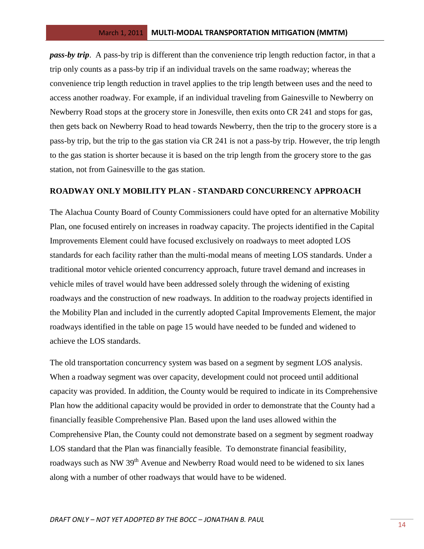*pass-by trip*. A pass-by trip is different than the convenience trip length reduction factor, in that a trip only counts as a pass-by trip if an individual travels on the same roadway; whereas the convenience trip length reduction in travel applies to the trip length between uses and the need to access another roadway. For example, if an individual traveling from Gainesville to Newberry on Newberry Road stops at the grocery store in Jonesville, then exits onto CR 241 and stops for gas, then gets back on Newberry Road to head towards Newberry, then the trip to the grocery store is a pass-by trip, but the trip to the gas station via CR 241 is not a pass-by trip. However, the trip length to the gas station is shorter because it is based on the trip length from the grocery store to the gas station, not from Gainesville to the gas station.

## **ROADWAY ONLY MOBILITY PLAN - STANDARD CONCURRENCY APPROACH**

The Alachua County Board of County Commissioners could have opted for an alternative Mobility Plan, one focused entirely on increases in roadway capacity. The projects identified in the Capital Improvements Element could have focused exclusively on roadways to meet adopted LOS standards for each facility rather than the multi-modal means of meeting LOS standards. Under a traditional motor vehicle oriented concurrency approach, future travel demand and increases in vehicle miles of travel would have been addressed solely through the widening of existing roadways and the construction of new roadways. In addition to the roadway projects identified in the Mobility Plan and included in the currently adopted Capital Improvements Element, the major roadways identified in the table on page 15 would have needed to be funded and widened to achieve the LOS standards.

The old transportation concurrency system was based on a segment by segment LOS analysis. When a roadway segment was over capacity, development could not proceed until additional capacity was provided. In addition, the County would be required to indicate in its Comprehensive Plan how the additional capacity would be provided in order to demonstrate that the County had a financially feasible Comprehensive Plan. Based upon the land uses allowed within the Comprehensive Plan, the County could not demonstrate based on a segment by segment roadway LOS standard that the Plan was financially feasible. To demonstrate financial feasibility, roadways such as NW 39<sup>th</sup> Avenue and Newberry Road would need to be widened to six lanes along with a number of other roadways that would have to be widened.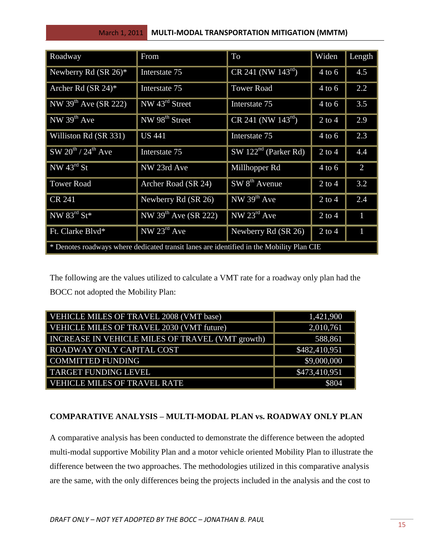| Roadway                               | From                                                                                     | To                               | Widen      | Length         |  |  |  |
|---------------------------------------|------------------------------------------------------------------------------------------|----------------------------------|------------|----------------|--|--|--|
| Newberry Rd $(SR 26)^*$               | Interstate 75                                                                            | $CR$ 241 (NW 143 <sup>rd</sup> ) | $4$ to 6   | 4.5            |  |  |  |
| Archer Rd $(SR 24)^*$                 | Interstate 75                                                                            | <b>Tower Road</b>                | $4$ to 6   | 2.2            |  |  |  |
| NW 39 <sup>th</sup> Ave (SR 222)      | NW $43^{\text{rd}}$ Street                                                               | Interstate 75                    | $4$ to 6   | 3.5            |  |  |  |
| $NW$ 39 <sup>th</sup> Ave             | NW 98 <sup>th</sup> Street                                                               | $CR$ 241 (NW 143 <sup>rd</sup> ) | $2$ to $4$ | 2.9            |  |  |  |
| Williston Rd (SR 331)                 | <b>US 441</b>                                                                            | Interstate 75                    | $4$ to 6   | 2.3            |  |  |  |
| $SW 20^{th}$ / $24^{th}$ Ave          | Interstate 75                                                                            | $SW 122nd$ (Parker Rd)           | $2$ to $4$ | 4.4            |  |  |  |
| $\sqrt{\text{NW } 43^{\text{rd}}}$ St | NW 23rd Ave                                                                              | Millhopper Rd                    | $4$ to 6   | $\overline{2}$ |  |  |  |
| <b>Tower Road</b>                     | Archer Road (SR 24)                                                                      | $SW 8th$ Avenue                  | $2$ to 4   | 3.2            |  |  |  |
| <b>CR 241</b>                         | Newberry Rd (SR 26)                                                                      | NW $39th$ Ave                    | $2$ to 4   | 2.4            |  |  |  |
| NW $83^{\text{rd}}$ St <sup>*</sup>   | NW 39 <sup>th</sup> Ave (SR 222)                                                         | NW $23^{\text{rd}}$ Ave          | $2$ to 4   | 1              |  |  |  |
| Ft. Clarke Blvd*                      | NW $23^{\text{rd}}$ Ave                                                                  | Newberry Rd (SR 26)              | $2$ to 4   | 1              |  |  |  |
|                                       | * Denotes roadways where dedicated transit lanes are identified in the Mobility Plan CIE |                                  |            |                |  |  |  |

The following are the values utilized to calculate a VMT rate for a roadway only plan had the BOCC not adopted the Mobility Plan:

| VEHICLE MILES OF TRAVEL 2008 (VMT base)          | 1,421,900     |
|--------------------------------------------------|---------------|
| <b>VEHICLE MILES OF TRAVEL 2030 (VMT future)</b> | 2,010,761     |
| INCREASE IN VEHICLE MILES OF TRAVEL (VMT growth) | 588,861       |
| ROADWAY ONLY CAPITAL COST                        | \$482,410,951 |
| <b>COMMITTED FUNDING</b>                         | \$9,000,000   |
| <b>TARGET FUNDING LEVEL</b>                      | \$473,410,951 |
| <b>VEHICLE MILES OF TRAVEL RATE</b>              | \$804         |

# **COMPARATIVE ANALYSIS – MULTI-MODAL PLAN vs. ROADWAY ONLY PLAN**

A comparative analysis has been conducted to demonstrate the difference between the adopted multi-modal supportive Mobility Plan and a motor vehicle oriented Mobility Plan to illustrate the difference between the two approaches. The methodologies utilized in this comparative analysis are the same, with the only differences being the projects included in the analysis and the cost to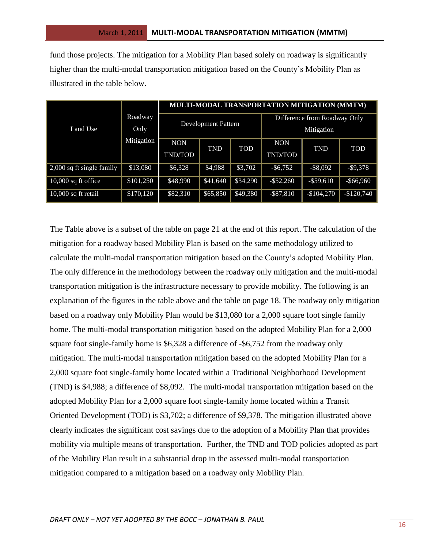fund those projects. The mitigation for a Mobility Plan based solely on roadway is significantly higher than the multi-modal transportation mitigation based on the County's Mobility Plan as illustrated in the table below.

|                             |                 | MULTI-MODAL TRANSPORTATION MITIGATION (MMTM) |                            |          |                                            |              |              |  |
|-----------------------------|-----------------|----------------------------------------------|----------------------------|----------|--------------------------------------------|--------------|--------------|--|
| Land Use                    | Roadway<br>Only |                                              | <b>Development Pattern</b> |          | Difference from Roadway Only<br>Mitigation |              |              |  |
|                             | Mitigation      | <b>NON</b><br>TND/TOD                        | <b>TND</b>                 | TOD      | <b>NON</b><br>TND/TOD                      | <b>TND</b>   | <b>TOD</b>   |  |
| $2,000$ sq ft single family | \$13,080        | \$6,328                                      | \$4,988                    | \$3,702  | $-$ \$6,752                                | $-$ \$8,092  | $-$9,378$    |  |
| $10,000$ sq ft office       | \$101,250       | \$48,990                                     | \$41,640                   | \$34,290 | $-$ \$52,260                               | $-$ \$59,610 | $-$ \$66,960 |  |
| 10,000 sq ft retail         | \$170,120       | \$82,310                                     | \$65,850                   | \$49,380 | $-$ \$87,810                               | $-$104,270$  | $-$120,740$  |  |

The Table above is a subset of the table on page 21 at the end of this report. The calculation of the mitigation for a roadway based Mobility Plan is based on the same methodology utilized to calculate the multi-modal transportation mitigation based on the County's adopted Mobility Plan. The only difference in the methodology between the roadway only mitigation and the multi-modal transportation mitigation is the infrastructure necessary to provide mobility. The following is an explanation of the figures in the table above and the table on page 18. The roadway only mitigation based on a roadway only Mobility Plan would be \$13,080 for a 2,000 square foot single family home. The multi-modal transportation mitigation based on the adopted Mobility Plan for a 2,000 square foot single-family home is \$6,328 a difference of -\$6,752 from the roadway only mitigation. The multi-modal transportation mitigation based on the adopted Mobility Plan for a 2,000 square foot single-family home located within a Traditional Neighborhood Development (TND) is \$4,988; a difference of \$8,092. The multi-modal transportation mitigation based on the adopted Mobility Plan for a 2,000 square foot single-family home located within a Transit Oriented Development (TOD) is \$3,702; a difference of \$9,378. The mitigation illustrated above clearly indicates the significant cost savings due to the adoption of a Mobility Plan that provides mobility via multiple means of transportation. Further, the TND and TOD policies adopted as part of the Mobility Plan result in a substantial drop in the assessed multi-modal transportation mitigation compared to a mitigation based on a roadway only Mobility Plan.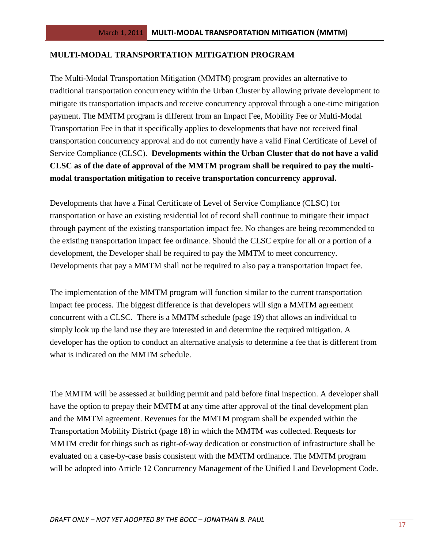## **MULTI-MODAL TRANSPORTATION MITIGATION PROGRAM**

The Multi-Modal Transportation Mitigation (MMTM) program provides an alternative to traditional transportation concurrency within the Urban Cluster by allowing private development to mitigate its transportation impacts and receive concurrency approval through a one-time mitigation payment. The MMTM program is different from an Impact Fee, Mobility Fee or Multi-Modal Transportation Fee in that it specifically applies to developments that have not received final transportation concurrency approval and do not currently have a valid Final Certificate of Level of Service Compliance (CLSC). **Developments within the Urban Cluster that do not have a valid CLSC as of the date of approval of the MMTM program shall be required to pay the multimodal transportation mitigation to receive transportation concurrency approval.** 

Developments that have a Final Certificate of Level of Service Compliance (CLSC) for transportation or have an existing residential lot of record shall continue to mitigate their impact through payment of the existing transportation impact fee. No changes are being recommended to the existing transportation impact fee ordinance. Should the CLSC expire for all or a portion of a development, the Developer shall be required to pay the MMTM to meet concurrency. Developments that pay a MMTM shall not be required to also pay a transportation impact fee.

The implementation of the MMTM program will function similar to the current transportation impact fee process. The biggest difference is that developers will sign a MMTM agreement concurrent with a CLSC. There is a MMTM schedule (page 19) that allows an individual to simply look up the land use they are interested in and determine the required mitigation. A developer has the option to conduct an alternative analysis to determine a fee that is different from what is indicated on the MMTM schedule.

The MMTM will be assessed at building permit and paid before final inspection. A developer shall have the option to prepay their MMTM at any time after approval of the final development plan and the MMTM agreement. Revenues for the MMTM program shall be expended within the Transportation Mobility District (page 18) in which the MMTM was collected. Requests for MMTM credit for things such as right-of-way dedication or construction of infrastructure shall be evaluated on a case-by-case basis consistent with the MMTM ordinance. The MMTM program will be adopted into Article 12 Concurrency Management of the Unified Land Development Code.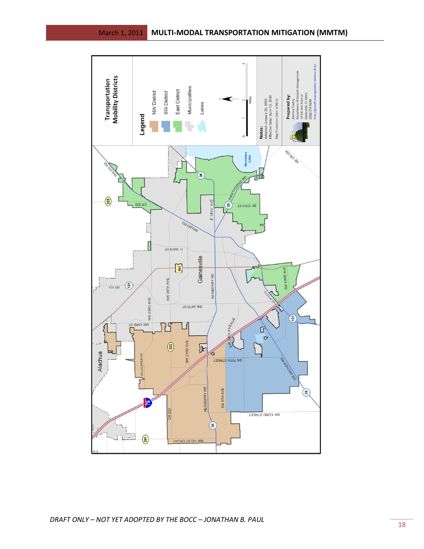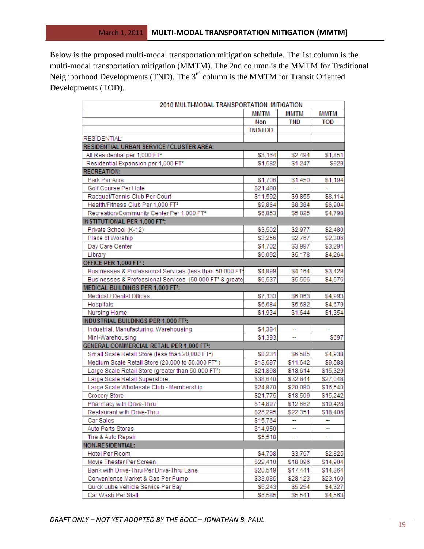Below is the proposed multi-modal transportation mitigation schedule. The 1st column is the multi-modal transportation mitigation (MMTM). The 2nd column is the MMTM for Traditional Neighborhood Developments (TND). The  $3<sup>rd</sup>$  column is the MMTM for Transit Oriented Developments (TOD).

| 2010 MULTI-MODAL TRANSPORTATION MITIGATION                           |                |             |            |
|----------------------------------------------------------------------|----------------|-------------|------------|
|                                                                      | <b>MMTM</b>    | <b>MMTM</b> | MMTM       |
|                                                                      | Non            | <b>TND</b>  | <b>TOD</b> |
|                                                                      | <b>TND/TOD</b> |             |            |
| RESIDENTIAL:                                                         |                |             |            |
| RESIDENTIAL URBAN SERVICE / CLUSTER AREA:                            |                |             |            |
| All Residential per 1,000 FT <sup>2</sup>                            | \$3,164        | \$2,494     | \$1,851    |
| Residential Expansion per 1,000 FT <sup>2</sup>                      | \$1,582        | \$1,247     | \$929      |
| <b>RECREATION:</b>                                                   |                |             |            |
| Park Per Acre                                                        | \$1,706        | \$1,450     | \$1,194    |
| Golf Course Per Hole                                                 | \$21,480       |             |            |
| Racquet/Tennis Club Per Court                                        | \$11,592       | \$9,855     | \$8,114    |
| Health/Fitness Club Per 1,000 FT <sup>2</sup>                        | \$9,864        | \$8,384     | \$6,904    |
| Recreation/Community Center Per 1,000 FT*                            | \$6,853        | \$5,825     | \$4,798    |
| <b>INSTITUTIONAL PER 1,000 FT<sup>2</sup>:</b>                       |                |             |            |
| Private School (K-12)                                                | \$3,502        | \$2,977     | \$2,480    |
| Place of Worship                                                     | \$3,256        | \$2,767     | \$2,306    |
| Day Care Center                                                      | \$4,702        | \$3,997     | \$3,291    |
| Library                                                              | \$6,092        | \$5,178     | \$4,264    |
| OFFICE PER 1,000 FT <sup>2</sup> :                                   |                |             |            |
| Businesses & Professional Services (less than 50,000 FT <sup>4</sup> | \$4,899        | \$4,164     | \$3,429    |
| Businesses & Professional Services (50,000 FT <sup>2</sup> & greate  | \$6,537        | \$5,556     | \$4,576    |
| <b>MEDICAL BUILDINGS PER 1,000 FT<sup>2</sup>:</b>                   |                |             |            |
| Medical / Dental Offices                                             | \$7,133        | \$6,063     | \$4,993    |
| Hospitals                                                            | \$6,684        | \$5,682     | \$4,679    |
| Nursing Home                                                         | \$1,934        | \$1,644     | \$1,354    |
| INDUSTRIAL BUILDINGS PER 1,000 FT <sup>2</sup> :                     |                |             |            |
| Industrial, Manufacturing, Warehousing                               | \$4,384        | 4           |            |
| Mini-Warehousing                                                     | \$1,393        |             | \$697      |
| <b>GENERAL COMMERCIAL RETAIL PER 1,000 FT2:</b>                      |                |             |            |
| Small Scale Retail Store (less than 20,000 FT <sup>2</sup> )         | \$8,231        | \$6,585     | \$4,938    |
| Medium Scale Retail Store (20,000 to 50,000 FT <sup>2</sup> )        | \$13,697       | \$11,642    | \$9,588    |
| Large Scale Retail Store (greater than 50,000 FT <sup>2</sup> )      | \$21,898       | \$18,614    | \$15,329   |
| Large Scale Retail Superstore                                        | \$38,640       | \$32,844    | \$27,048   |
| Large Scale Wholesale Club - Membership                              | \$24,870       | \$20,080    | \$16,540   |
| Grocery Store                                                        | \$21,775       | \$18,509    | \$15,242   |
| Pharmacy with Drive-Thru                                             | \$14,897       | \$12,662    | \$10,428   |
| Restaurant with Drive-Thru                                           | \$26,295       | \$22,351    | \$18,406   |
| Car Sales                                                            | \$15,764       |             |            |
| Auto Parts Stores                                                    | \$14,950       | ш,          |            |
| Tire & Auto Repair                                                   | \$5,518        |             |            |
| <b>NON-RESIDENTIAL:</b>                                              |                |             |            |
| Hotel Per Room                                                       | \$4,708        | \$3,767     | \$2,825    |
| Movie Theater Per Screen                                             | \$22,410       | \$18,096    | \$14,904   |
| Bank with Drive-Thru Per Drive-Thru Lane                             | \$20,519       | \$17,441    | \$14,364   |
| Convenience Market & Gas Per Pump                                    | \$33,085       | \$28,123    | \$23,160   |
| Quick Lube Vehicle Service Per Bay                                   | \$6,243        | \$5,254     | \$4,327    |
| Car Wash Per Stall                                                   | \$6,585        | \$5,541     | \$4,563    |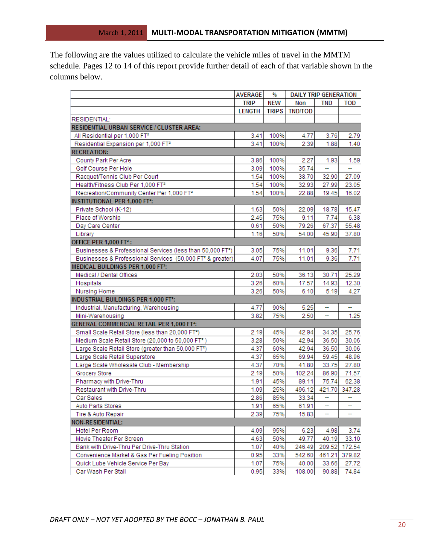The following are the values utilized to calculate the vehicle miles of travel in the MMTM schedule. Pages 12 to 14 of this report provide further detail of each of that variable shown in the columns below.

|                                                                        | <b>AVERAGE</b> | %            | <b>DAILY TRIP GENERATION</b> |        |            |
|------------------------------------------------------------------------|----------------|--------------|------------------------------|--------|------------|
|                                                                        | TRIP           | <b>NEW</b>   | Non                          | TND    | <b>TOD</b> |
|                                                                        | <b>LENGTH</b>  | <b>TRIPS</b> | <b>TND/TOD</b>               |        |            |
| <b>RESIDENTIAL:</b>                                                    |                |              |                              |        |            |
| RESIDENTIAL URBAN SERVICE / CLUSTER AREA:                              |                |              |                              |        |            |
| All Residential per 1,000 FT <sup>2</sup>                              | 3.41           | 100%         | 4.77                         | 3.76   | 2.79       |
| Residential Expansion per 1,000 FT <sup>2</sup>                        | 3.41           | 100%         | 2.39                         | 1.88   | 1.40       |
| <b>RECREATION:</b>                                                     |                |              |                              |        |            |
| County Park Per Acre                                                   | 3.86           | 100%         | 2.27                         | 1.93   | 1.59       |
| Golf Course Per Hole                                                   | 3.09           | 100%         | 35.74                        |        |            |
| Racquet/Tennis Club Per Court                                          | 1.54           | 100%         | 38.70                        | 32.90  | 27.09      |
| Health/Fitness Club Per 1,000 FT <sup>2</sup>                          | 1.54           | 100%         | 32.93                        | 27.99  | 23.05      |
| Recreation/Community Center Per 1,000 FT <sup>2</sup>                  | 1.54           | 100%         | 22.88                        | 19.45  | 16.02      |
| <b>INSTITUTIONAL PER 1,000 FT<sup>2</sup>:</b>                         |                |              |                              |        |            |
| Private School (K-12)                                                  | 1.63           | 50%          | 22.09                        | 18.78  | 15.47      |
| Place of Worship                                                       | 2.45           | 75%          | 9.11                         | 7.74   | 6.38       |
| Day Care Center                                                        | 0.61           | 50%          | 79.26                        | 67.37  | 55.48      |
| Library                                                                | 1.16           | 50%          | 54.00                        | 45.90  | 37.80      |
| OFFICE PER 1,000 FT <sup>2</sup> :                                     |                |              |                              |        |            |
| Businesses & Professional Services (less than 50,000 FT <sup>2</sup> ) | 3.05           | 75%          | 11.01                        | 9.36   | 7.71       |
| Businesses & Professional Services (50,000 FT <sup>2</sup> & greater)  | 4.07           | 75%          | 11.01                        | 9.36   | 7.71       |
| <b>MEDICAL BUILDINGS PER 1,000 FT<sup>2</sup>:</b>                     |                |              |                              |        |            |
| Medical / Dental Offices                                               | 2.03           | 50%          | 36.13                        | 30.71  | 25.29      |
| Hospitals                                                              | 3.26           | 60%          | 17.57                        | 14.93  | 12.30      |
| Nursing Home                                                           | 3.26           | 50%          | 6.10                         | 5.19   | 4.27       |
| INDUSTRIAL BUILDINGS PER 1,000 FT <sup>2</sup> :                       |                |              |                              |        |            |
| Industrial, Manufacturing, Warehousing                                 | 4.77           | 90%          | 5.25                         | ÷      | 4          |
| Mini-Warehousing                                                       | 3.82           | 75%          | 2.50                         | ÷      | 1.25       |
| <b>GENERAL COMMERCIAL RETAIL PER 1,000 FT<sup>2</sup>:</b>             |                |              |                              |        |            |
| Small Scale Retail Store (less than 20,000 FT <sup>2</sup> )           | 2.19           | 45%          | 42.94                        | 34.35  | 25.76      |
| Medium Scale Retail Store (20,000 to 50,000 FT <sup>2</sup> )          | 3.28           | 50%          | 42.94                        | 36.50  | 30.06      |
| Large Scale Retail Store (greater than 50,000 FT2)                     | 4.37           | 60%          | 42.94                        | 36.50  | 30.06      |
| Large Scale Retail Superstore                                          | 4.37           | 65%          | 69.94                        | 59.45  | 48.96      |
| Large Scale Wholesale Club - Membership                                | 4.37           | 70%          | 41.80                        | 33.75  | 27.80      |
| Grocery Store                                                          | 2.19           | 50%          | 102.24                       | 86.90  | 71.57      |
| Pharmacy with Drive-Thru                                               | 1.91           | 45%          | 89.11                        | 75.74  | 62.38      |
| Restaurant with Drive-Thru                                             | 1.09           | 25%          | 496.12                       | 421.70 | 347.28     |
| Car Sales                                                              | 2.86           | 85%          | 33.34                        | -      | ÷          |
| Auto Parts Stores                                                      | 1.91           | 65%          | 61.91                        | ÷      |            |
| Tire & Auto Repair                                                     | 2.39           | 75%          | 15.83                        |        |            |
| NON-RESIDENTIAL:                                                       |                |              |                              |        |            |
| Hotel Per Room                                                         | 4.09           | 95%          | 6.23                         | 4.98   | 3.74       |
| Movie Theater Per Screen                                               | 4.63           | 50%          | 49.77                        | 40.19  | 33.10      |
| Bank with Drive-Thru Per Drive-Thru Station                            | 1.07           | 40%          | 246.49                       | 209.52 | 172.54     |
| Convenience Market & Gas Per Fueling Position                          | 0.95           | 33%          | 542.60                       | 461.21 | 379.82     |
| Quick Lube Vehicle Service Per Bay                                     | 1.07           | 75%          | 40.00                        | 33.66  | 27.72      |
| Car Wash Per Stall                                                     | 0.95           | 33%          | 108.00                       | 90.88  | 74.84      |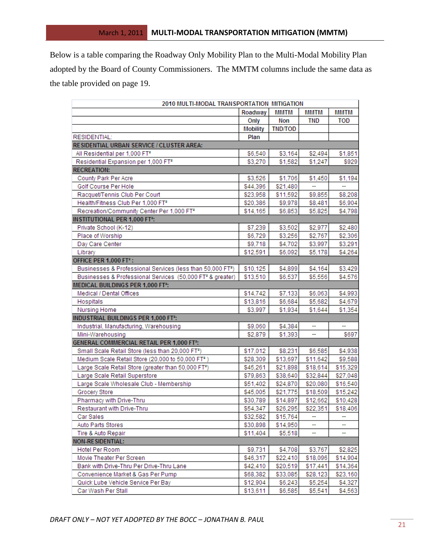Below is a table comparing the Roadway Only Mobility Plan to the Multi-Modal Mobility Plan adopted by the Board of County Commissioners. The MMTM columns include the same data as the table provided on page 19.

|                                                                        | 2010 MULTI-MODAL TRANSPORTATION MITIGATION |                |             |             |  |  |
|------------------------------------------------------------------------|--------------------------------------------|----------------|-------------|-------------|--|--|
|                                                                        | Roadway                                    | MMTM           | <b>MMTM</b> | <b>MMTM</b> |  |  |
|                                                                        | Only                                       | Non            | <b>TND</b>  | <b>TOD</b>  |  |  |
|                                                                        | <b>Mobility</b>                            | <b>TND/TOD</b> |             |             |  |  |
| RESIDENTIAL:                                                           | Plan                                       |                |             |             |  |  |
| RESIDENTIAL URBAN SERVICE / CLUSTER AREA:                              |                                            |                |             |             |  |  |
| All Residential per 1,000 FT <sup>2</sup>                              | \$6,540                                    | \$3,164        | \$2,494     | \$1,851     |  |  |
| Residential Expansion per 1,000 FT <sup>2</sup>                        | \$3,270                                    | \$1,582        | \$1,247     | \$929       |  |  |
| <b>RECREATION:</b>                                                     |                                            |                |             |             |  |  |
| County Park Per Acre                                                   | \$3,526                                    | \$1,706        | \$1,450     | \$1,194     |  |  |
| Golf Course Per Hole                                                   | \$44,396                                   | \$21,480       | ÷           | ÷           |  |  |
| Racquet/Tennis Club Per Court                                          | \$23,958                                   | \$11,592       | \$9,855     | \$8,208     |  |  |
| Health/Fitness Club Per 1,000 FT <sup>2</sup>                          | \$20,386                                   | \$9,978        | \$8,481     | \$6,904     |  |  |
| Recreation/Community Center Per 1,000 FT <sup>2</sup>                  | \$14,165                                   | \$6,853        | \$5,825     | \$4,798     |  |  |
| <b>INSTITUTIONAL PER 1,000 FT2:</b>                                    |                                            |                |             |             |  |  |
| Private School (K-12)                                                  | \$7,239                                    | \$3,502        | \$2,977     | \$2,480     |  |  |
| Place of Worship                                                       | \$6,729                                    | \$3,256        | \$2,767     | \$2,306     |  |  |
| Day Care Center                                                        | \$9,718                                    | \$4,702        | \$3,997     | \$3,291     |  |  |
| Library                                                                | \$12,591                                   | \$6,092        | \$5,178     | \$4,264     |  |  |
| OFFICE PER 1,000 FT <sup>2</sup> :                                     |                                            |                |             |             |  |  |
| Businesses & Professional Services (less than 50,000 FT <sup>2</sup> ) | \$10,125                                   | \$4,899        | \$4,164     | \$3,429     |  |  |
| Businesses & Professional Services (50,000 FT <sup>2</sup> & greater)  | \$13,510                                   | \$6,537        | \$5,556     | \$4,576     |  |  |
| <b>MEDICAL BUILDINGS PER 1,000 FT<sup>2</sup>:</b>                     |                                            |                |             |             |  |  |
| Medical / Dental Offices                                               | \$14,742                                   | \$7,133        | \$6,063     | \$4,993     |  |  |
| Hospitals                                                              | \$13,816                                   | \$6,684        | \$5,682     | \$4,679     |  |  |
| Nursing Home                                                           | \$3,997                                    | \$1,934        | \$1,644     | \$1,354     |  |  |
| INDUSTRIAL BUILDINGS PER 1,000 FT <sup>2</sup> :                       |                                            |                |             |             |  |  |
| Industrial, Manufacturing, Warehousing                                 | \$9,060                                    | \$4,384        | ۰.          | н.          |  |  |
| Mini-Warehousing                                                       | \$2,879                                    | \$1,393        |             | \$697       |  |  |
| <b>GENERAL COMMERCIAL RETAIL PER 1,000 FT2:</b>                        |                                            |                |             |             |  |  |
| Small Scale Retail Store (less than 20,000 FT <sup>2</sup> )           | \$17,012                                   | \$8,231        | \$6,585     | \$4,938     |  |  |
| Medium Scale Retail Store (20,000 to 50,000 FT <sup>2</sup> )          | \$28,309                                   | \$13,697       | \$11,642    | \$9,588     |  |  |
| Large Scale Retail Store (greater than 50,000 FT2)                     | \$45,261                                   | \$21,898       | \$18,614    | \$15,329    |  |  |
| Large Scale Retail Superstore                                          | \$79,863                                   | \$38,640       | \$32,844    | \$27,048    |  |  |
| Large Scale Wholesale Club - Membership                                | \$51,402                                   | \$24,870       | \$20,080    | \$16,540    |  |  |
| Grocery Store                                                          | \$45,005                                   | \$21,775       | \$18,509    | \$15,242    |  |  |
| Pharmacy with Drive-Thru                                               | \$30,789                                   | \$14,897       | \$12,662    | \$10,428    |  |  |
| Restaurant with Drive-Thru                                             | \$54,347                                   | \$26,295       | \$22,351    | \$18,406    |  |  |
| Car Sales                                                              | \$32,582                                   | \$15,764       |             |             |  |  |
| Auto Parts Stores                                                      | \$30,898                                   | \$14,950       |             |             |  |  |
| Tire & Auto Repair                                                     | \$11,404                                   | \$5,518        |             |             |  |  |
| <b>NON-RESIDENTIAL:</b>                                                |                                            |                |             |             |  |  |
| Hotel Per Room                                                         | \$9,731                                    | \$4,708        | \$3,767     | \$2,825     |  |  |
| Movie Theater Per Screen                                               | \$46,317                                   | \$22,410       | \$18,096    | \$14,904    |  |  |
| Bank with Drive-Thru Per Drive-Thru Lane                               | \$42,410                                   | \$20,519       | \$17,441    | \$14,364    |  |  |
| Convenience Market & Gas Per Pump                                      | \$68,382                                   | \$33,085       | \$28,123    | \$23,160    |  |  |
| Quick Lube Vehicle Service Per Bay                                     | \$12,904                                   | \$6,243        | \$5,254     | \$4,327     |  |  |
| Car Wash Per Stall                                                     | \$13,611                                   | \$6,585        | \$5,541     | \$4,563     |  |  |